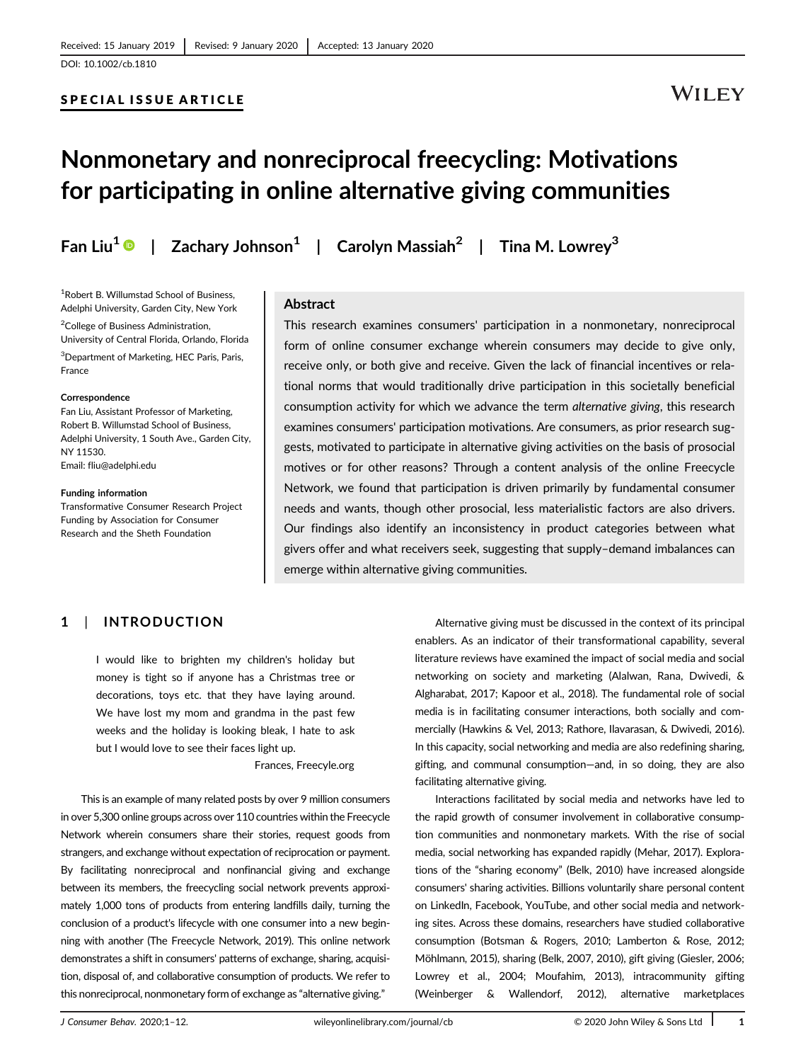# SPECIAL ISSUE ARTICLE

# **WILEY**

# Nonmonetary and nonreciprocal freecycling: Motivations for participating in online alternative giving communities

Fan Liu<sup>1</sup>  $\bullet$  | Zachary Johnson<sup>1</sup> | Carolyn Massiah<sup>2</sup> | Tina M. Lowrey<sup>3</sup>

1 Robert B. Willumstad School of Business, Adelphi University, Garden City, New York

<sup>2</sup>College of Business Administration, University of Central Florida, Orlando, Florida 3 Department of Marketing, HEC Paris, Paris, France

#### **Correspondence**

Fan Liu, Assistant Professor of Marketing, Robert B. Willumstad School of Business, Adelphi University, 1 South Ave., Garden City, NY 11530. Email: [fliu@adelphi.edu](mailto:fliu@adelphi.edu)

#### Funding information

Transformative Consumer Research Project Funding by Association for Consumer Research and the Sheth Foundation

#### Abstract

This research examines consumers' participation in a nonmonetary, nonreciprocal form of online consumer exchange wherein consumers may decide to give only, receive only, or both give and receive. Given the lack of financial incentives or relational norms that would traditionally drive participation in this societally beneficial consumption activity for which we advance the term alternative giving, this research examines consumers' participation motivations. Are consumers, as prior research suggests, motivated to participate in alternative giving activities on the basis of prosocial motives or for other reasons? Through a content analysis of the online Freecycle Network, we found that participation is driven primarily by fundamental consumer needs and wants, though other prosocial, less materialistic factors are also drivers. Our findings also identify an inconsistency in product categories between what givers offer and what receivers seek, suggesting that supply–demand imbalances can emerge within alternative giving communities.

# 1 | INTRODUCTION

I would like to brighten my children's holiday but money is tight so if anyone has a Christmas tree or decorations, toys etc. that they have laying around. We have lost my mom and grandma in the past few weeks and the holiday is looking bleak, I hate to ask but I would love to see their faces light up.

Frances, [Freecyle.org](http://freecyle.org)

This is an example of many related posts by over 9 million consumers in over 5,300 online groups across over 110 countries within the Freecycle Network wherein consumers share their stories, request goods from strangers, and exchange without expectation of reciprocation or payment. By facilitating nonreciprocal and nonfinancial giving and exchange between its members, the freecycling social network prevents approximately 1,000 tons of products from entering landfills daily, turning the conclusion of a product's lifecycle with one consumer into a new beginning with another (The Freecycle Network, 2019). This online network demonstrates a shift in consumers' patterns of exchange, sharing, acquisition, disposal of, and collaborative consumption of products. We refer to this nonreciprocal, nonmonetary form of exchange as "alternative giving."

Alternative giving must be discussed in the context of its principal enablers. As an indicator of their transformational capability, several literature reviews have examined the impact of social media and social networking on society and marketing (Alalwan, Rana, Dwivedi, & Algharabat, 2017; Kapoor et al., 2018). The fundamental role of social media is in facilitating consumer interactions, both socially and commercially (Hawkins & Vel, 2013; Rathore, Ilavarasan, & Dwivedi, 2016). In this capacity, social networking and media are also redefining sharing, gifting, and communal consumption—and, in so doing, they are also facilitating alternative giving.

Interactions facilitated by social media and networks have led to the rapid growth of consumer involvement in collaborative consumption communities and nonmonetary markets. With the rise of social media, social networking has expanded rapidly (Mehar, 2017). Explorations of the "sharing economy" (Belk, 2010) have increased alongside consumers' sharing activities. Billions voluntarily share personal content on LinkedIn, Facebook, YouTube, and other social media and networking sites. Across these domains, researchers have studied collaborative consumption (Botsman & Rogers, 2010; Lamberton & Rose, 2012; Möhlmann, 2015), sharing (Belk, 2007, 2010), gift giving (Giesler, 2006; Lowrey et al., 2004; Moufahim, 2013), intracommunity gifting (Weinberger & Wallendorf, 2012), alternative marketplaces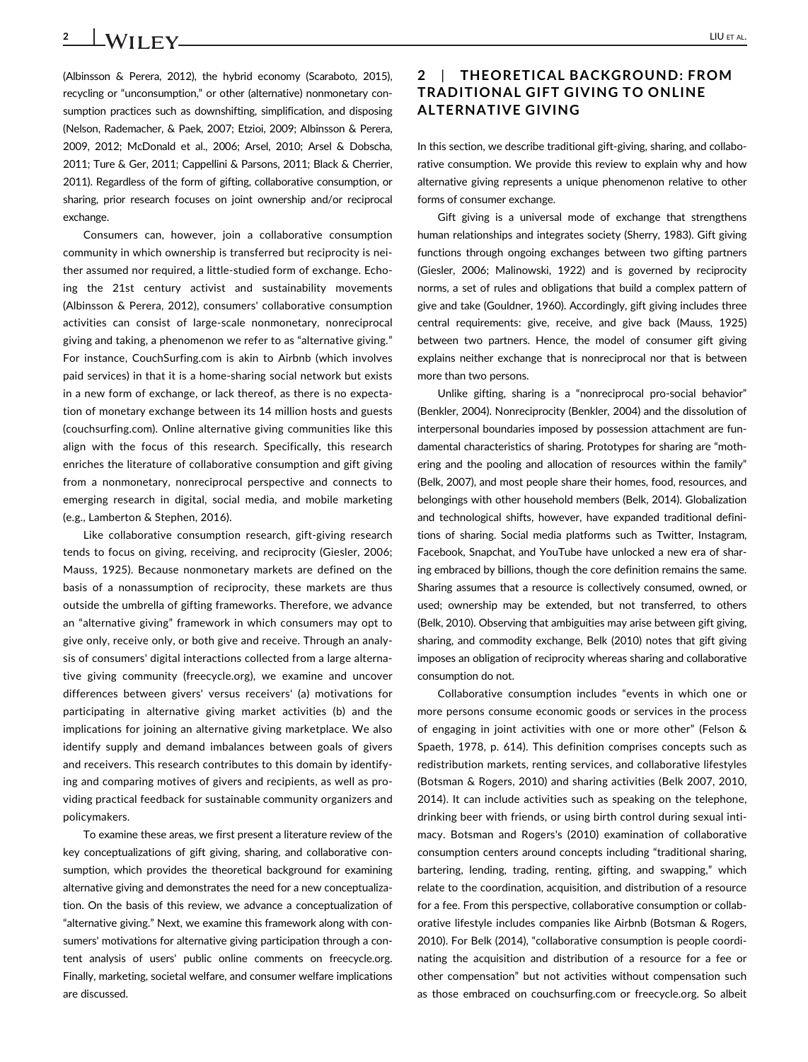# 2 LIU ET AL.

(Albinsson & Perera, 2012), the hybrid economy (Scaraboto, 2015), recycling or "unconsumption," or other (alternative) nonmonetary consumption practices such as downshifting, simplification, and disposing (Nelson, Rademacher, & Paek, 2007; Etzioi, 2009; Albinsson & Perera, 2009, 2012; McDonald et al., 2006; Arsel, 2010; Arsel & Dobscha, 2011; Ture & Ger, 2011; Cappellini & Parsons, 2011; Black & Cherrier, 2011). Regardless of the form of gifting, collaborative consumption, or sharing, prior research focuses on joint ownership and/or reciprocal exchange.

Consumers can, however, join a collaborative consumption community in which ownership is transferred but reciprocity is neither assumed nor required, a little-studied form of exchange. Echoing the 21st century activist and sustainability movements (Albinsson & Perera, 2012), consumers' collaborative consumption activities can consist of large-scale nonmonetary, nonreciprocal giving and taking, a phenomenon we refer to as "alternative giving." For instance, [CouchSurfing.com](http://couchsurfing.com) is akin to Airbnb (which involves paid services) in that it is a home-sharing social network but exists in a new form of exchange, or lack thereof, as there is no expectation of monetary exchange between its 14 million hosts and guests ([couchsurfing.com](http://couchsurfing.com)). Online alternative giving communities like this align with the focus of this research. Specifically, this research enriches the literature of collaborative consumption and gift giving from a nonmonetary, nonreciprocal perspective and connects to emerging research in digital, social media, and mobile marketing (e.g., Lamberton & Stephen, 2016).

Like collaborative consumption research, gift-giving research tends to focus on giving, receiving, and reciprocity (Giesler, 2006; Mauss, 1925). Because nonmonetary markets are defined on the basis of a nonassumption of reciprocity, these markets are thus outside the umbrella of gifting frameworks. Therefore, we advance an "alternative giving" framework in which consumers may opt to give only, receive only, or both give and receive. Through an analysis of consumers' digital interactions collected from a large alternative giving community [\(freecycle.org](http://freecycle.org)), we examine and uncover differences between givers' versus receivers' (a) motivations for participating in alternative giving market activities (b) and the implications for joining an alternative giving marketplace. We also identify supply and demand imbalances between goals of givers and receivers. This research contributes to this domain by identifying and comparing motives of givers and recipients, as well as providing practical feedback for sustainable community organizers and policymakers.

To examine these areas, we first present a literature review of the key conceptualizations of gift giving, sharing, and collaborative consumption, which provides the theoretical background for examining alternative giving and demonstrates the need for a new conceptualization. On the basis of this review, we advance a conceptualization of "alternative giving." Next, we examine this framework along with consumers' motivations for alternative giving participation through a content analysis of users' public online comments on [freecycle.org](http://freecycle.org). Finally, marketing, societal welfare, and consumer welfare implications are discussed.

# 2 | THEORETICAL BACKGROUND: FROM TRADITIONAL GIFT GIVING TO ONLINE ALTERNATIVE GIVING

In this section, we describe traditional gift-giving, sharing, and collaborative consumption. We provide this review to explain why and how alternative giving represents a unique phenomenon relative to other forms of consumer exchange.

Gift giving is a universal mode of exchange that strengthens human relationships and integrates society (Sherry, 1983). Gift giving functions through ongoing exchanges between two gifting partners (Giesler, 2006; Malinowski, 1922) and is governed by reciprocity norms, a set of rules and obligations that build a complex pattern of give and take (Gouldner, 1960). Accordingly, gift giving includes three central requirements: give, receive, and give back (Mauss, 1925) between two partners. Hence, the model of consumer gift giving explains neither exchange that is nonreciprocal nor that is between more than two persons.

Unlike gifting, sharing is a "nonreciprocal pro-social behavior" (Benkler, 2004). Nonreciprocity (Benkler, 2004) and the dissolution of interpersonal boundaries imposed by possession attachment are fundamental characteristics of sharing. Prototypes for sharing are "mothering and the pooling and allocation of resources within the family" (Belk, 2007), and most people share their homes, food, resources, and belongings with other household members (Belk, 2014). Globalization and technological shifts, however, have expanded traditional definitions of sharing. Social media platforms such as Twitter, Instagram, Facebook, Snapchat, and YouTube have unlocked a new era of sharing embraced by billions, though the core definition remains the same. Sharing assumes that a resource is collectively consumed, owned, or used; ownership may be extended, but not transferred, to others (Belk, 2010). Observing that ambiguities may arise between gift giving, sharing, and commodity exchange, Belk (2010) notes that gift giving imposes an obligation of reciprocity whereas sharing and collaborative consumption do not.

Collaborative consumption includes "events in which one or more persons consume economic goods or services in the process of engaging in joint activities with one or more other" (Felson & Spaeth, 1978, p. 614). This definition comprises concepts such as redistribution markets, renting services, and collaborative lifestyles (Botsman & Rogers, 2010) and sharing activities (Belk 2007, 2010, 2014). It can include activities such as speaking on the telephone, drinking beer with friends, or using birth control during sexual intimacy. Botsman and Rogers's (2010) examination of collaborative consumption centers around concepts including "traditional sharing, bartering, lending, trading, renting, gifting, and swapping," which relate to the coordination, acquisition, and distribution of a resource for a fee. From this perspective, collaborative consumption or collaborative lifestyle includes companies like Airbnb (Botsman & Rogers, 2010). For Belk (2014), "collaborative consumption is people coordinating the acquisition and distribution of a resource for a fee or other compensation" but not activities without compensation such as those embraced on [couchsurfing.com](http://couchsurfing.com) or [freecycle.org.](http://freecycle.org) So albeit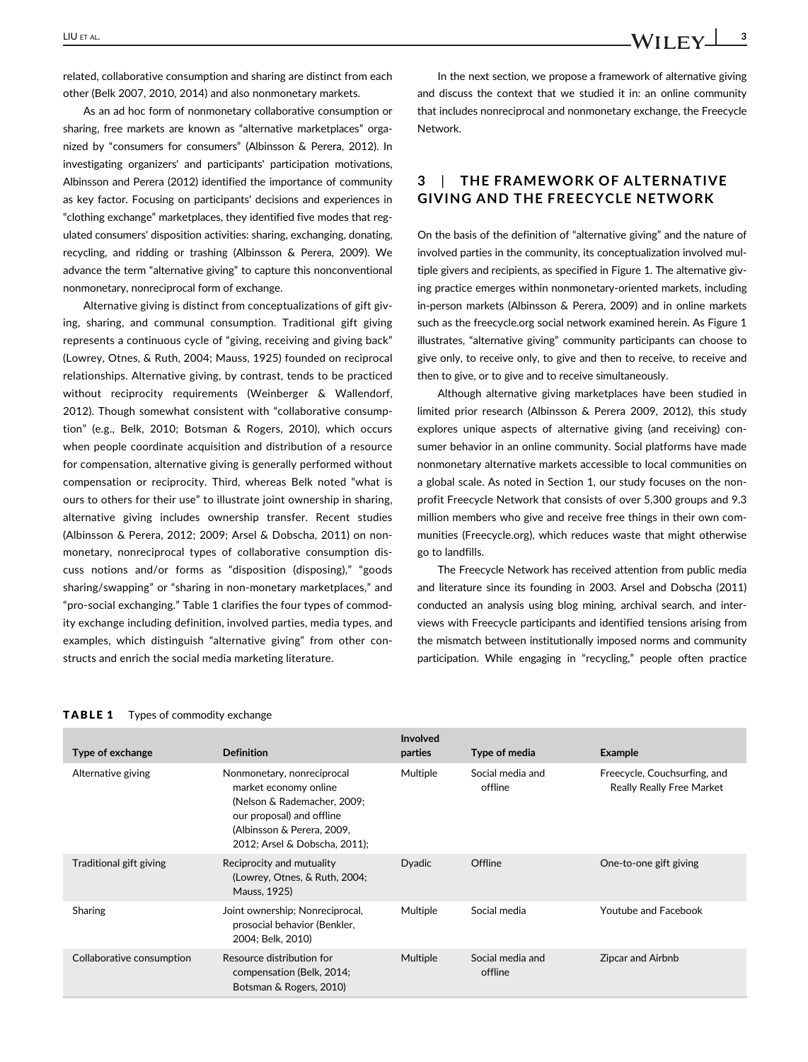related, collaborative consumption and sharing are distinct from each other (Belk 2007, 2010, 2014) and also nonmonetary markets.

As an ad hoc form of nonmonetary collaborative consumption or sharing, free markets are known as "alternative marketplaces" organized by "consumers for consumers" (Albinsson & Perera, 2012). In investigating organizers' and participants' participation motivations, Albinsson and Perera (2012) identified the importance of community as key factor. Focusing on participants' decisions and experiences in "clothing exchange" marketplaces, they identified five modes that regulated consumers' disposition activities: sharing, exchanging, donating, recycling, and ridding or trashing (Albinsson & Perera, 2009). We advance the term "alternative giving" to capture this nonconventional nonmonetary, nonreciprocal form of exchange.

Alternative giving is distinct from conceptualizations of gift giving, sharing, and communal consumption. Traditional gift giving represents a continuous cycle of "giving, receiving and giving back" (Lowrey, Otnes, & Ruth, 2004; Mauss, 1925) founded on reciprocal relationships. Alternative giving, by contrast, tends to be practiced without reciprocity requirements (Weinberger & Wallendorf, 2012). Though somewhat consistent with "collaborative consumption" (e.g., Belk, 2010; Botsman & Rogers, 2010), which occurs when people coordinate acquisition and distribution of a resource for compensation, alternative giving is generally performed without compensation or reciprocity. Third, whereas Belk noted "what is ours to others for their use" to illustrate joint ownership in sharing, alternative giving includes ownership transfer. Recent studies (Albinsson & Perera, 2012; 2009; Arsel & Dobscha, 2011) on nonmonetary, nonreciprocal types of collaborative consumption discuss notions and/or forms as "disposition (disposing)," "goods sharing/swapping" or "sharing in non-monetary marketplaces," and "pro-social exchanging." Table 1 clarifies the four types of commodity exchange including definition, involved parties, media types, and examples, which distinguish "alternative giving" from other constructs and enrich the social media marketing literature.

In the next section, we propose a framework of alternative giving and discuss the context that we studied it in: an online community that includes nonreciprocal and nonmonetary exchange, the Freecycle Network.

# 3 | THE FRAMEWORK OF ALTERNATIVE GIVING AND THE FREECYCLE NETWORK

On the basis of the definition of "alternative giving" and the nature of involved parties in the community, its conceptualization involved multiple givers and recipients, as specified in Figure 1. The alternative giving practice emerges within nonmonetary-oriented markets, including in-person markets (Albinsson & Perera, 2009) and in online markets such as the [freecycle.org](http://freecycle.org) social network examined herein. As Figure 1 illustrates, "alternative giving" community participants can choose to give only, to receive only, to give and then to receive, to receive and then to give, or to give and to receive simultaneously.

Although alternative giving marketplaces have been studied in limited prior research (Albinsson & Perera 2009, 2012), this study explores unique aspects of alternative giving (and receiving) consumer behavior in an online community. Social platforms have made nonmonetary alternative markets accessible to local communities on a global scale. As noted in Section 1, our study focuses on the nonprofit Freecycle Network that consists of over 5,300 groups and 9.3 million members who give and receive free things in their own communities ([Freecycle.org](http://freecycle.org)), which reduces waste that might otherwise go to landfills.

The Freecycle Network has received attention from public media and literature since its founding in 2003. Arsel and Dobscha (2011) conducted an analysis using blog mining, archival search, and interviews with Freecycle participants and identified tensions arising from the mismatch between institutionally imposed norms and community participation. While engaging in "recycling," people often practice

#### **TABLE 1** Types of commodity exchange

| Type of exchange          | <b>Definition</b>                                                                                                                                                              | Involved<br>parties | Type of media               | <b>Example</b>                                                   |
|---------------------------|--------------------------------------------------------------------------------------------------------------------------------------------------------------------------------|---------------------|-----------------------------|------------------------------------------------------------------|
| Alternative giving        | Nonmonetary, nonreciprocal<br>market economy online<br>(Nelson & Rademacher, 2009;<br>our proposal) and offline<br>(Albinsson & Perera, 2009,<br>2012; Arsel & Dobscha, 2011); | Multiple            | Social media and<br>offline | Freecycle, Couchsurfing, and<br><b>Really Really Free Market</b> |
| Traditional gift giving   | Reciprocity and mutuality<br>(Lowrey, Otnes, & Ruth, 2004;<br>Mauss, 1925)                                                                                                     | Dyadic              | Offline                     | One-to-one gift giving                                           |
| Sharing                   | Joint ownership; Nonreciprocal,<br>prosocial behavior (Benkler,<br>2004; Belk, 2010)                                                                                           | Multiple            | Social media                | Youtube and Facebook                                             |
| Collaborative consumption | Resource distribution for<br>compensation (Belk, 2014;<br>Botsman & Rogers, 2010)                                                                                              | Multiple            | Social media and<br>offline | Zipcar and Airbnb                                                |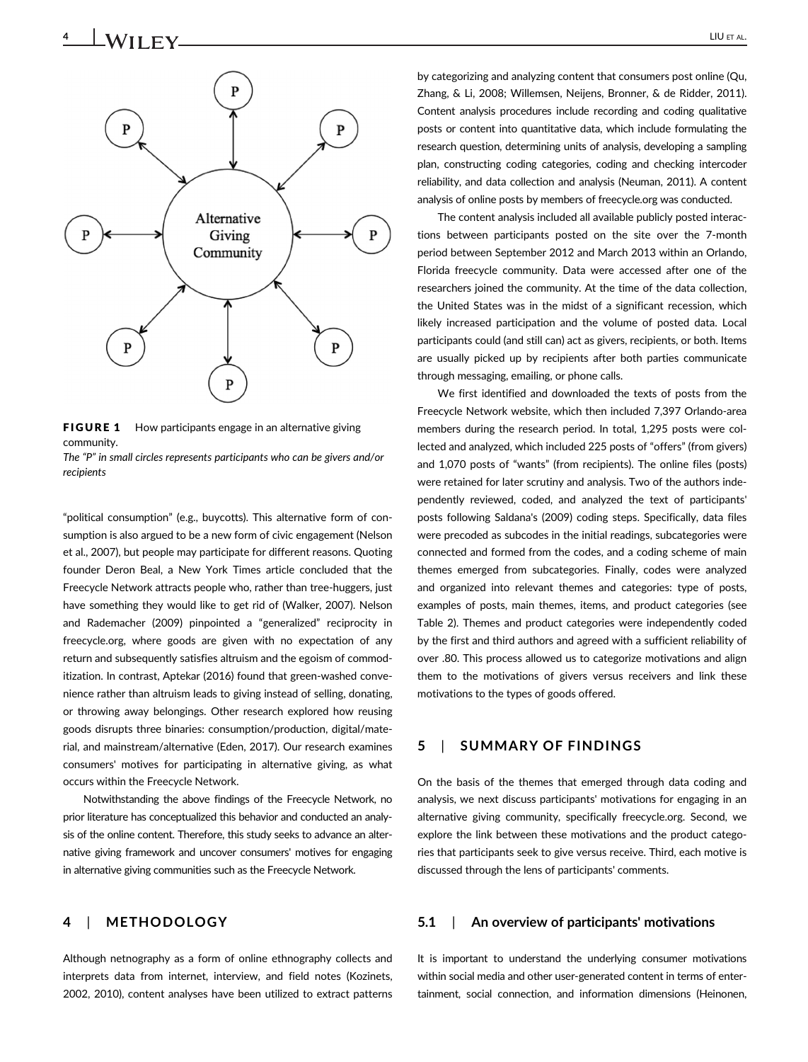

FIGURE 1 How participants engage in an alternative giving community.

The "P" in small circles represents participants who can be givers and/or recipients

"political consumption" (e.g., buycotts). This alternative form of consumption is also argued to be a new form of civic engagement (Nelson et al., 2007), but people may participate for different reasons. Quoting founder Deron Beal, a New York Times article concluded that the Freecycle Network attracts people who, rather than tree-huggers, just have something they would like to get rid of (Walker, 2007). Nelson and Rademacher (2009) pinpointed a "generalized" reciprocity in [freecycle.org](http://freecycle.org), where goods are given with no expectation of any return and subsequently satisfies altruism and the egoism of commoditization. In contrast, Aptekar (2016) found that green-washed convenience rather than altruism leads to giving instead of selling, donating, or throwing away belongings. Other research explored how reusing goods disrupts three binaries: consumption/production, digital/material, and mainstream/alternative (Eden, 2017). Our research examines consumers' motives for participating in alternative giving, as what occurs within the Freecycle Network.

Notwithstanding the above findings of the Freecycle Network, no prior literature has conceptualized this behavior and conducted an analysis of the online content. Therefore, this study seeks to advance an alternative giving framework and uncover consumers' motives for engaging in alternative giving communities such as the Freecycle Network.

## 4 | METHODOLOGY

Although netnography as a form of online ethnography collects and interprets data from internet, interview, and field notes (Kozinets, 2002, 2010), content analyses have been utilized to extract patterns by categorizing and analyzing content that consumers post online (Qu, Zhang, & Li, 2008; Willemsen, Neijens, Bronner, & de Ridder, 2011). Content analysis procedures include recording and coding qualitative posts or content into quantitative data, which include formulating the research question, determining units of analysis, developing a sampling plan, constructing coding categories, coding and checking intercoder reliability, and data collection and analysis (Neuman, 2011). A content analysis of online posts by members of [freecycle.org](http://freecycle.org) was conducted.

The content analysis included all available publicly posted interactions between participants posted on the site over the 7-month period between September 2012 and March 2013 within an Orlando, Florida freecycle community. Data were accessed after one of the researchers joined the community. At the time of the data collection, the United States was in the midst of a significant recession, which likely increased participation and the volume of posted data. Local participants could (and still can) act as givers, recipients, or both. Items are usually picked up by recipients after both parties communicate through messaging, emailing, or phone calls.

We first identified and downloaded the texts of posts from the Freecycle Network website, which then included 7,397 Orlando-area members during the research period. In total, 1,295 posts were collected and analyzed, which included 225 posts of "offers" (from givers) and 1,070 posts of "wants" (from recipients). The online files (posts) were retained for later scrutiny and analysis. Two of the authors independently reviewed, coded, and analyzed the text of participants' posts following Saldana's (2009) coding steps. Specifically, data files were precoded as subcodes in the initial readings, subcategories were connected and formed from the codes, and a coding scheme of main themes emerged from subcategories. Finally, codes were analyzed and organized into relevant themes and categories: type of posts, examples of posts, main themes, items, and product categories (see Table 2). Themes and product categories were independently coded by the first and third authors and agreed with a sufficient reliability of over .80. This process allowed us to categorize motivations and align them to the motivations of givers versus receivers and link these motivations to the types of goods offered.

## 5 | SUMMARY OF FINDINGS

On the basis of the themes that emerged through data coding and analysis, we next discuss participants' motivations for engaging in an alternative giving community, specifically [freecycle.org](http://freecycle.org). Second, we explore the link between these motivations and the product categories that participants seek to give versus receive. Third, each motive is discussed through the lens of participants' comments.

#### 5.1 | An overview of participants' motivations

It is important to understand the underlying consumer motivations within social media and other user-generated content in terms of entertainment, social connection, and information dimensions (Heinonen,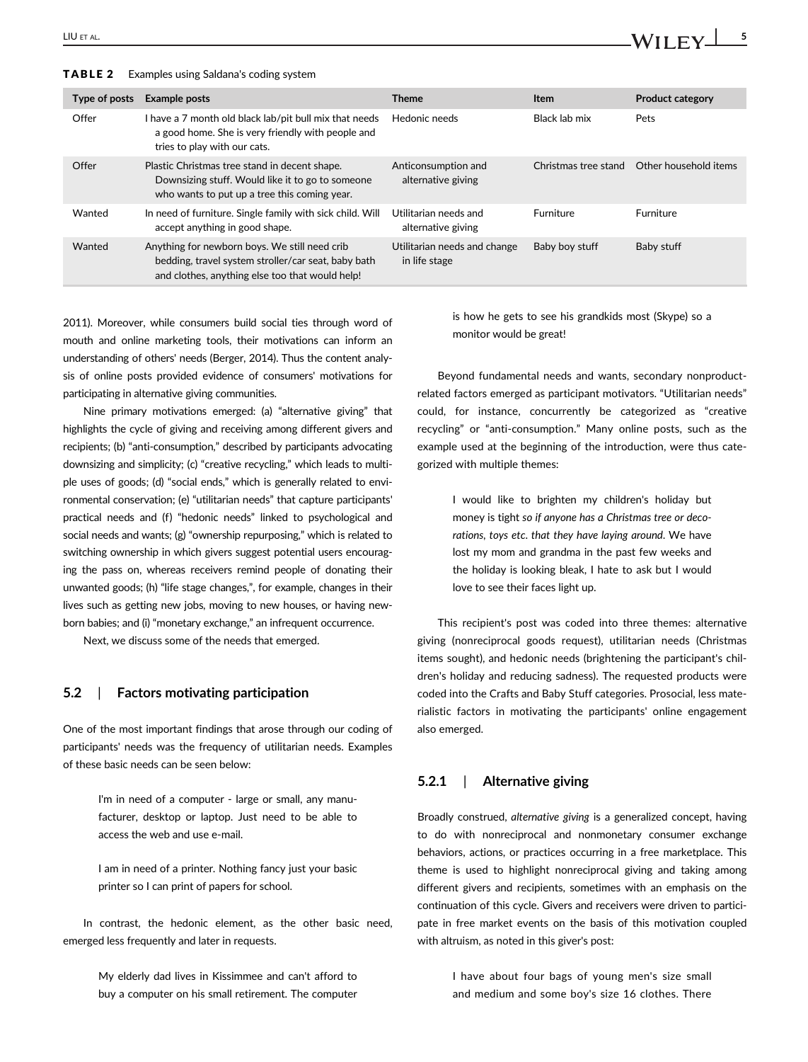#### TABLE 2 Examples using Saldana's coding system

| Type of posts | Example posts                                                                                                                                           | Theme                                         | <b>Item</b>          | <b>Product category</b> |
|---------------|---------------------------------------------------------------------------------------------------------------------------------------------------------|-----------------------------------------------|----------------------|-------------------------|
| Offer         | I have a 7 month old black lab/pit bull mix that needs<br>a good home. She is very friendly with people and<br>tries to play with our cats.             | Hedonic needs                                 | Black lab mix        | Pets                    |
| Offer         | Plastic Christmas tree stand in decent shape.<br>Downsizing stuff. Would like it to go to someone<br>who wants to put up a tree this coming year.       | Anticonsumption and<br>alternative giving     | Christmas tree stand | Other household items   |
| Wanted        | In need of furniture. Single family with sick child. Will<br>accept anything in good shape.                                                             | Utilitarian needs and<br>alternative giving   | Furniture            | Furniture               |
| Wanted        | Anything for newborn boys. We still need crib<br>bedding, travel system stroller/car seat, baby bath<br>and clothes, anything else too that would help! | Utilitarian needs and change<br>in life stage | Baby boy stuff       | Baby stuff              |

2011). Moreover, while consumers build social ties through word of mouth and online marketing tools, their motivations can inform an understanding of others' needs (Berger, 2014). Thus the content analysis of online posts provided evidence of consumers' motivations for participating in alternative giving communities.

Nine primary motivations emerged: (a) "alternative giving" that highlights the cycle of giving and receiving among different givers and recipients; (b) "anti-consumption," described by participants advocating downsizing and simplicity; (c) "creative recycling," which leads to multiple uses of goods; (d) "social ends," which is generally related to environmental conservation; (e) "utilitarian needs" that capture participants' practical needs and (f) "hedonic needs" linked to psychological and social needs and wants; (g) "ownership repurposing," which is related to switching ownership in which givers suggest potential users encouraging the pass on, whereas receivers remind people of donating their unwanted goods; (h) "life stage changes,", for example, changes in their lives such as getting new jobs, moving to new houses, or having newborn babies; and (i) "monetary exchange," an infrequent occurrence.

Next, we discuss some of the needs that emerged.

## 5.2 | Factors motivating participation

One of the most important findings that arose through our coding of participants' needs was the frequency of utilitarian needs. Examples of these basic needs can be seen below:

> I'm in need of a computer - large or small, any manufacturer, desktop or laptop. Just need to be able to access the web and use e-mail.

> I am in need of a printer. Nothing fancy just your basic printer so I can print of papers for school.

In contrast, the hedonic element, as the other basic need, emerged less frequently and later in requests.

> My elderly dad lives in Kissimmee and can't afford to buy a computer on his small retirement. The computer

is how he gets to see his grandkids most (Skype) so a monitor would be great!

Beyond fundamental needs and wants, secondary nonproductrelated factors emerged as participant motivators. "Utilitarian needs" could, for instance, concurrently be categorized as "creative recycling" or "anti-consumption." Many online posts, such as the example used at the beginning of the introduction, were thus categorized with multiple themes:

> I would like to brighten my children's holiday but money is tight so if anyone has a Christmas tree or decorations, toys etc. that they have laying around. We have lost my mom and grandma in the past few weeks and the holiday is looking bleak, I hate to ask but I would love to see their faces light up.

This recipient's post was coded into three themes: alternative giving (nonreciprocal goods request), utilitarian needs (Christmas items sought), and hedonic needs (brightening the participant's children's holiday and reducing sadness). The requested products were coded into the Crafts and Baby Stuff categories. Prosocial, less materialistic factors in motivating the participants' online engagement also emerged.

#### 5.2.1 | Alternative giving

Broadly construed, alternative giving is a generalized concept, having to do with nonreciprocal and nonmonetary consumer exchange behaviors, actions, or practices occurring in a free marketplace. This theme is used to highlight nonreciprocal giving and taking among different givers and recipients, sometimes with an emphasis on the continuation of this cycle. Givers and receivers were driven to participate in free market events on the basis of this motivation coupled with altruism, as noted in this giver's post:

> I have about four bags of young men's size small and medium and some boy's size 16 clothes. There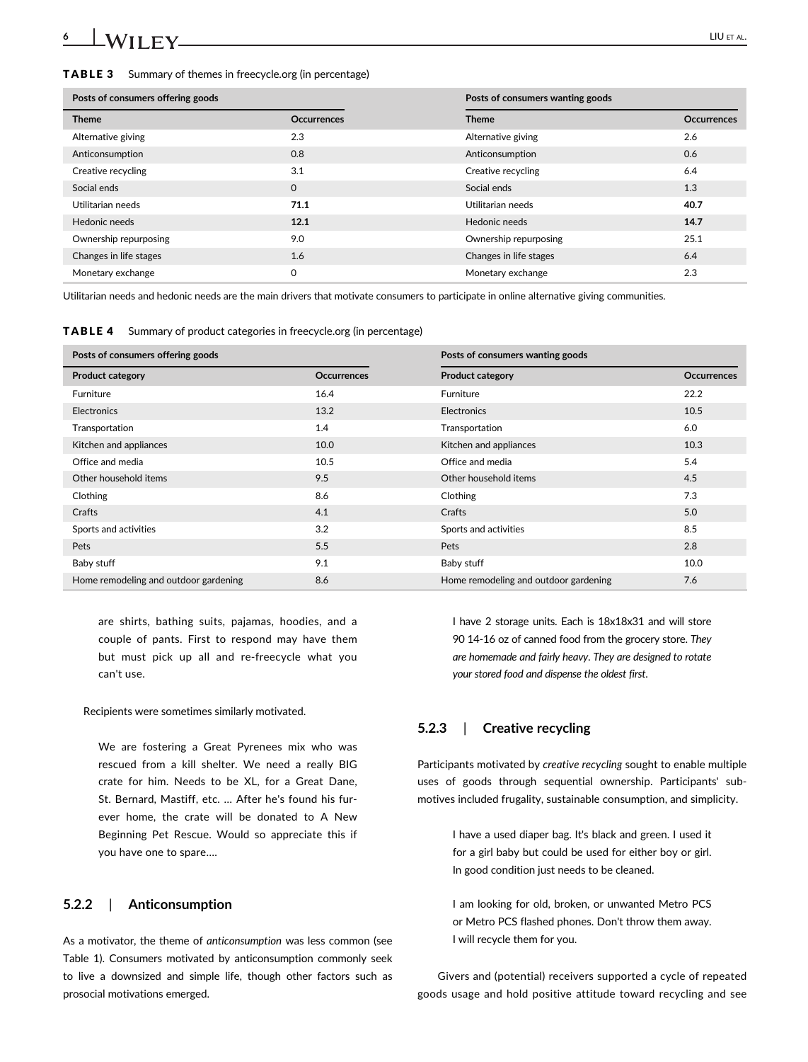#### TABLE 3 Summary of themes in freecycle.org (in percentage)

| Posts of consumers offering goods |                    | Posts of consumers wanting goods |                    |
|-----------------------------------|--------------------|----------------------------------|--------------------|
| <b>Theme</b>                      | <b>Occurrences</b> | <b>Theme</b>                     | <b>Occurrences</b> |
| Alternative giving                | 2.3                | Alternative giving               | 2.6                |
| Anticonsumption                   | 0.8                | Anticonsumption                  | 0.6                |
| Creative recycling                | 3.1                | Creative recycling               | 6.4                |
| Social ends                       | $\mathbf 0$        | Social ends                      | 1.3                |
| Utilitarian needs                 | 71.1               | Utilitarian needs                | 40.7               |
| Hedonic needs                     | 12.1               | Hedonic needs                    | 14.7               |
| Ownership repurposing             | 9.0                | Ownership repurposing            | 25.1               |
| Changes in life stages            | 1.6                | Changes in life stages           | 6.4                |
| Monetary exchange                 | $\Omega$           | Monetary exchange                | 2.3                |
|                                   |                    |                                  |                    |

Utilitarian needs and hedonic needs are the main drivers that motivate consumers to participate in online alternative giving communities.

| TABLE 4<br>Summary of product categories in freecycle.org (in percentage) |  |
|---------------------------------------------------------------------------|--|
|---------------------------------------------------------------------------|--|

| Posts of consumers offering goods     |                    | Posts of consumers wanting goods      |                    |
|---------------------------------------|--------------------|---------------------------------------|--------------------|
| <b>Product category</b>               | <b>Occurrences</b> | <b>Product category</b>               | <b>Occurrences</b> |
| Furniture                             | 16.4               | Furniture                             | 22.2               |
| Electronics                           | 13.2               | Electronics                           | 10.5               |
| Transportation                        | 1.4                | Transportation                        | 6.0                |
| Kitchen and appliances                | 10.0               | Kitchen and appliances                | 10.3               |
| Office and media                      | 10.5               | Office and media                      | 5.4                |
| Other household items                 | 9.5                | Other household items                 | 4.5                |
| Clothing                              | 8.6                | Clothing                              | 7.3                |
| Crafts                                | 4.1                | Crafts                                | 5.0                |
| Sports and activities                 | 3.2                | Sports and activities                 | 8.5                |
| Pets                                  | 5.5                | Pets                                  | 2.8                |
| Baby stuff                            | 9.1                | Baby stuff                            | 10.0               |
| Home remodeling and outdoor gardening | 8.6                | Home remodeling and outdoor gardening | 7.6                |

are shirts, bathing suits, pajamas, hoodies, and a couple of pants. First to respond may have them but must pick up all and re-freecycle what you can't use.

Recipients were sometimes similarly motivated.

We are fostering a Great Pyrenees mix who was rescued from a kill shelter. We need a really BIG crate for him. Needs to be XL, for a Great Dane, St. Bernard, Mastiff, etc. … After he's found his furever home, the crate will be donated to A New Beginning Pet Rescue. Would so appreciate this if you have one to spare….

# 5.2.2 | Anticonsumption

As a motivator, the theme of anticonsumption was less common (see Table 1). Consumers motivated by anticonsumption commonly seek to live a downsized and simple life, though other factors such as prosocial motivations emerged.

I have 2 storage units. Each is 18x18x31 and will store 90 14-16 oz of canned food from the grocery store. They are homemade and fairly heavy. They are designed to rotate your stored food and dispense the oldest first.

### 5.2.3 | Creative recycling

Participants motivated by creative recycling sought to enable multiple uses of goods through sequential ownership. Participants' submotives included frugality, sustainable consumption, and simplicity.

> I have a used diaper bag. It's black and green. I used it for a girl baby but could be used for either boy or girl. In good condition just needs to be cleaned.

> I am looking for old, broken, or unwanted Metro PCS or Metro PCS flashed phones. Don't throw them away. I will recycle them for you.

Givers and (potential) receivers supported a cycle of repeated goods usage and hold positive attitude toward recycling and see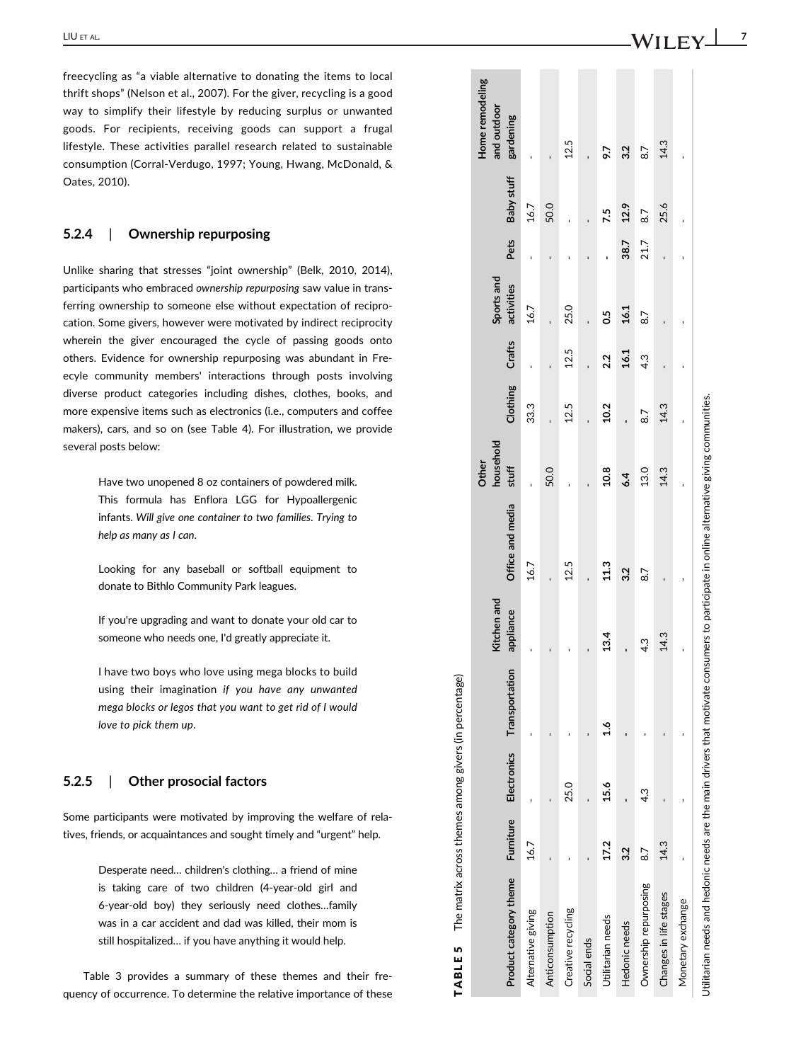freecycling as "a viable alternative to donating the items to local thrift shops " (Nelson et al., 2007). For the giver, recycling is a good way to simplify their lifestyle by reducing surplus or unwanted goods. For recipients, receiving goods can support a frugal lifestyle. These activities parallel research related to sustainable consumption (Corral-Verdugo, 1997; Young, Hwang, McDonald, & Oates, 2010).

#### 5.2.4 | Ownership repurposing

Unlike sharing that stresses "joint ownership " (Belk, 2010, 2014), participants who embraced ownership repurposing saw value in transferring ownership to someone else without expectation of reciprocation. Some givers, however were motivated by indirect reciprocity wherein the giver encouraged the cycle of passing goods onto others. Evidence for ownership repurposing was abundant in Freecyle community members' interactions through posts involving diverse product categories including dishes, clothes, books, and more expensive items such as electronics (i.e., computers and coffee makers), cars, and so on (see Table 4). For illustration, we provide several posts below:

> Have two unopened 8 oz containers of powdered milk. This formula has Enflora LGG for Hypoallergenic infants. Will give one container to two families . Trying to help as many as I can .

> Looking for any baseball or softball equipment to donate to Bithlo Community Park leagues.

> If you're upgrading and want to donate your old car to someone who needs one, I'd greatly appreciate it.

> I have two boys who love using mega blocks to build using their imagination if you have any unwanted mega blocks or legos that you want to get rid of I would love to pick them up .

#### 5.2.5 | Other prosocial factors

Some participants were motivated by improving the welfare of relatives, friends, or acquaintances and sought timely and "urgent" help.

> Desperate need … children's clothing … a friend of mine is taking care of two children (4-year-old girl and 6-year-old boy) they seriously need clothes …family was in a car accident and dad was killed, their mom is still hospitalized … if you have anything it would help.

Table 3 provides a summary of these themes and their frequency of occurrence. To determine the relative importance of these

| Product category theme                                                                                                                    | Furniture |      | Electronics Transportation | Kitchen and<br>appliance | Office and media | household<br>Other<br>stuff | Clothing Crafts |      | Sports and<br>activities | Pets | <b>Baby stuff</b> | Home remodeling<br>and outdoor<br>gardening |
|-------------------------------------------------------------------------------------------------------------------------------------------|-----------|------|----------------------------|--------------------------|------------------|-----------------------------|-----------------|------|--------------------------|------|-------------------|---------------------------------------------|
| Alternative giving                                                                                                                        | 16.7      |      |                            |                          | 16.7             |                             | 33.3            |      | 16.7                     |      | 16.7              |                                             |
| Anticonsumption                                                                                                                           |           |      |                            |                          |                  | 50.0                        |                 |      |                          |      | 50.0              |                                             |
| Creative recycling                                                                                                                        |           | 25.0 |                            |                          | 12.5             |                             | 12.5            | 12.5 | 25.0                     |      |                   | 12.5                                        |
| Social ends                                                                                                                               |           |      |                            |                          |                  |                             |                 |      |                          |      |                   |                                             |
| Jtilitarian needs                                                                                                                         | 17.2      | 15.6 | ە.<br>ئ                    | 13.4                     | 11.3             | 10.8                        | 10.2            | 2.2  | c.5                      |      | 7.5               | 5.6                                         |
| Hedonic needs                                                                                                                             | 32        |      |                            |                          | 3.2              | 6.4                         |                 | 16.1 | 16.1                     | 38.7 | 12.9              | 3.2                                         |
| Ownership repurposing                                                                                                                     | 87        | 43   |                            | 4.3                      | $\approx$        | 13.0                        | 8.7             | 4.3  | 8.7                      | 21.7 | $\overline{8}$ .7 | 8.7                                         |
| Changes in life stages                                                                                                                    | 14.3      |      |                            | 14.3                     |                  | 14.3                        | 14.3            |      |                          |      | 25.6              | 14.3                                        |
| Monetary exchange                                                                                                                         |           |      |                            |                          |                  |                             |                 |      |                          |      |                   |                                             |
| Utilitarian needs and hedonic needs are the main drivers that motivate consumers to participate in online alternative giving communities. |           |      |                            |                          |                  |                             |                 |      |                          |      |                   |                                             |

TABLE 5 The matrix across themes among givers (in percentage)

TABLE 5

The matrix across themes among givers (in percentage)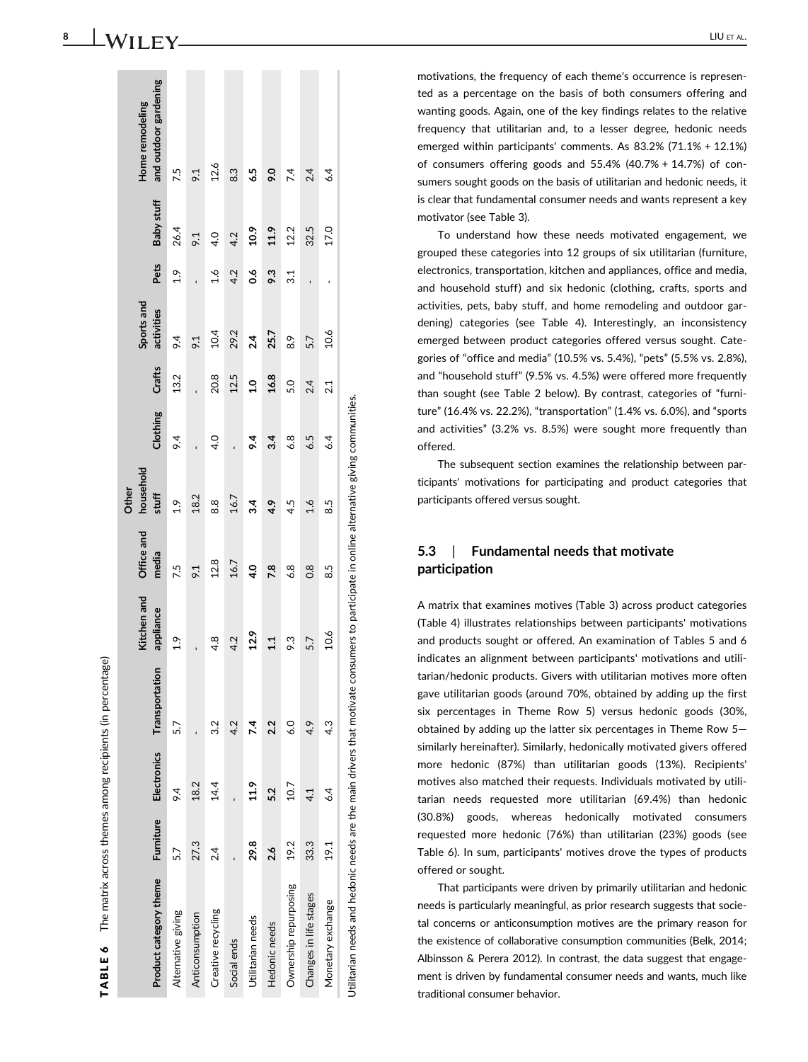| <b>TABLE 6</b> The matrix across themes among recipients (in percentage) |           |                 |                |                                                                    |                     |                             |                     |               |                          |                |            |                                          |
|--------------------------------------------------------------------------|-----------|-----------------|----------------|--------------------------------------------------------------------|---------------------|-----------------------------|---------------------|---------------|--------------------------|----------------|------------|------------------------------------------|
| Product category theme                                                   | Furniture | Electronics     | Transportation | Kitchen and<br>appliance                                           | Office and<br>media | household<br>Other<br>stuff | Clothing            | Crafts        | Sports and<br>activities | Pets           | Baby stuff | and outdoor gardening<br>Home remodeling |
| Alternative giving                                                       | 5.7       | 64              | 5.7            | $\frac{9}{1}$                                                      | 7.5                 | $\frac{6}{11}$              | $\dot{\varepsilon}$ | 13.2          | 64                       | $\frac{6}{11}$ | 26.4       | 7.5                                      |
| Anticonsumption                                                          | 27.3      | 18.2            |                |                                                                    | 9.1                 | 18.2                        |                     |               | 9.1                      |                | 9.1        | 9.1                                      |
| Creative recycling                                                       | 24        | 14.4            | 32             | 4.8                                                                | 12.8                | 8.8                         | $\frac{4}{10}$      | 20.8          | 10.4                     | $\frac{6}{1}$  | 4.0        | 12.6                                     |
| Social ends                                                              |           |                 | 4.2            | 4.2                                                                | 16.7                | 16.7                        |                     | 12.5          | 29.2                     | 4.2            | 4.2        | 8.3                                      |
| Utilitarian needs                                                        | 29.8      | 11.9            | 74             | 12.9                                                               | $\frac{4}{3}$       | 34                          | 64                  | $\frac{1}{2}$ | 24                       | °0             | 10.9       | 6.5                                      |
| Hedonic needs                                                            | 2.6       | 5.2             | 2.2            | 11                                                                 | 7.8                 | 4.9                         | 34                  | 16.8          | 25.7                     | 9.3            | 11.9       | 0.6                                      |
| Ownership repurposing                                                    | 19.2      | 10.7            | $\overline{6}$ | 9.3                                                                | $\frac{8}{6}$       | 4.5                         | $\frac{8}{6}$       | 5.0           | 8.9                      | $\frac{1}{3}$  | 12.2       | 74                                       |
| Changes in life stages                                                   | 33.3      | 4.1             | 4.9            | 5.7                                                                | $\frac{8}{2}$       | $\frac{6}{1}$               | 6.5                 | 2.4           | 5.7                      |                | 32.5       | 2.4                                      |
| Monetary exchange                                                        | 19.1      | $\overline{64}$ | 4.3            | 10.6                                                               | 8.5                 | 8.5                         | 6.4                 | 2.1           | 10.6                     |                | 17.0       | 6.4                                      |
| Utilitarian needs and hedonic needs are the main drivers that motivate   |           |                 |                | consumers to participate in online alternative giving communities. |                     |                             |                     |               |                          |                |            |                                          |

motivations, the frequency of each theme's occurrence is represented as a percentage on the basis of both consumers offering and wanting goods. Again, one of the key findings relates to the relative frequency that utilitarian and, to a lesser degree, hedonic needs emerged within participants' comments. As 83.2% (71.1% + 12.1%) of consumers offering goods and 55.4% (40.7% + 14.7%) of consumers sought goods on the basis of utilitarian and hedonic needs, it is clear that fundamental consumer needs and wants represent a key motivator (see Table 3).

To understand how these needs motivated engagement, we grouped these categories into 12 groups of six utilitarian (furniture, electronics, transportation, kitchen and appliances, office and media, and household stuff) and six hedonic (clothing, crafts, sports and activities, pets, baby stuff, and home remodeling and outdoor gardening) categories (see Table 4). Interestingly, an inconsistency emerged between product categories offered versus sought. Categories of "office and media" (10.5% vs. 5.4%), "pets" (5.5% vs. 2.8%), and "household stuff " (9.5% vs. 4.5%) were offered more frequently than sought (see Table 2 below). By contrast, categories of "furniture" (16.4% vs. 22.2%), "transportation" (1.4% vs. 6.0%), and "sports and activities " (3.2% vs. 8.5%) were sought more frequently than offered.

The subsequent section examines the relationship between participants' motivations for participating and product categories that participants offered versus sought.

#### 5.3 | Fundamental needs that motivate participation

A matrix that examines motives (Table 3) across product categories (Table 4) illustrates relationships between participants' motivations and products sought or offered. An examination of Tables 5 and 6 indicates an alignment between participants' motivations and utilitarian/hedonic products. Givers with utilitarian motives more often gave utilitarian goods (around 70%, obtained by adding up the first six percentages in Theme Row 5) versus hedonic goods (30%, obtained by adding up the latter six percentages in Theme Row 5 similarly hereinafter). Similarly, hedonically motivated givers offered more hedonic (87%) than utilitarian goods (13%). Recipients' motives also matched their requests. Individuals motivated by utilitarian needs requested more utilitarian (69.4%) than hedonic (30.8%) goods, whereas hedonically motivated consumers requested more hedonic (76%) than utilitarian (23%) goods (see Table 6). In sum, participants' motives drove the types of products offered or sought.

That participants were driven by primarily utilitarian and hedonic needs is particularly meaningful, as prior research suggests that societal concerns or anticonsumption motives are the primary reason for the existence of collaborative consumption communities (Belk, 2014; Albinsson & Perera 2012). In contrast, the data suggest that engagement is driven by fundamental consumer needs and wants, much like traditional consumer behavior.

TABLE 6

The matrix across themes among recipients (in percentage)

# $\frac{8}{100}$  WILEY-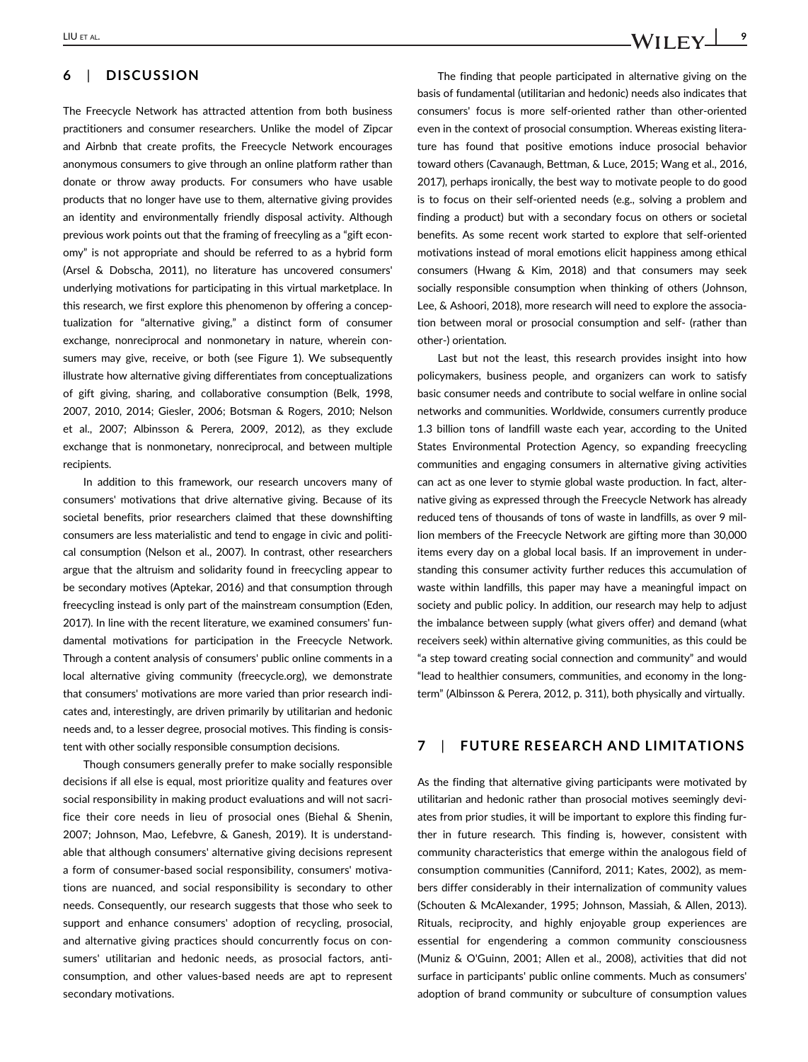### 6 | DISCUSSION

The Freecycle Network has attracted attention from both business practitioners and consumer researchers. Unlike the model of Zipcar and Airbnb that create profits, the Freecycle Network encourages anonymous consumers to give through an online platform rather than donate or throw away products. For consumers who have usable products that no longer have use to them, alternative giving provides an identity and environmentally friendly disposal activity. Although previous work points out that the framing of freecyling as a "gift economy" is not appropriate and should be referred to as a hybrid form (Arsel & Dobscha, 2011), no literature has uncovered consumers' underlying motivations for participating in this virtual marketplace. In this research, we first explore this phenomenon by offering a conceptualization for "alternative giving," a distinct form of consumer exchange, nonreciprocal and nonmonetary in nature, wherein consumers may give, receive, or both (see Figure 1). We subsequently illustrate how alternative giving differentiates from conceptualizations of gift giving, sharing, and collaborative consumption (Belk, 1998, 2007, 2010, 2014; Giesler, 2006; Botsman & Rogers, 2010; Nelson et al., 2007; Albinsson & Perera, 2009, 2012), as they exclude exchange that is nonmonetary, nonreciprocal, and between multiple recipients.

In addition to this framework, our research uncovers many of consumers' motivations that drive alternative giving. Because of its societal benefits, prior researchers claimed that these downshifting consumers are less materialistic and tend to engage in civic and political consumption (Nelson et al., 2007). In contrast, other researchers argue that the altruism and solidarity found in freecycling appear to be secondary motives (Aptekar, 2016) and that consumption through freecycling instead is only part of the mainstream consumption (Eden, 2017). In line with the recent literature, we examined consumers' fundamental motivations for participation in the Freecycle Network. Through a content analysis of consumers' public online comments in a local alternative giving community ([freecycle.org](http://freecycle.org)), we demonstrate that consumers' motivations are more varied than prior research indicates and, interestingly, are driven primarily by utilitarian and hedonic needs and, to a lesser degree, prosocial motives. This finding is consistent with other socially responsible consumption decisions.

Though consumers generally prefer to make socially responsible decisions if all else is equal, most prioritize quality and features over social responsibility in making product evaluations and will not sacrifice their core needs in lieu of prosocial ones (Biehal & Shenin, 2007; Johnson, Mao, Lefebvre, & Ganesh, 2019). It is understandable that although consumers' alternative giving decisions represent a form of consumer-based social responsibility, consumers' motivations are nuanced, and social responsibility is secondary to other needs. Consequently, our research suggests that those who seek to support and enhance consumers' adoption of recycling, prosocial, and alternative giving practices should concurrently focus on consumers' utilitarian and hedonic needs, as prosocial factors, anticonsumption, and other values-based needs are apt to represent secondary motivations.

The finding that people participated in alternative giving on the basis of fundamental (utilitarian and hedonic) needs also indicates that consumers' focus is more self-oriented rather than other-oriented even in the context of prosocial consumption. Whereas existing literature has found that positive emotions induce prosocial behavior toward others (Cavanaugh, Bettman, & Luce, 2015; Wang et al., 2016, 2017), perhaps ironically, the best way to motivate people to do good is to focus on their self-oriented needs (e.g., solving a problem and finding a product) but with a secondary focus on others or societal benefits. As some recent work started to explore that self-oriented motivations instead of moral emotions elicit happiness among ethical consumers (Hwang & Kim, 2018) and that consumers may seek socially responsible consumption when thinking of others (Johnson, Lee, & Ashoori, 2018), more research will need to explore the association between moral or prosocial consumption and self- (rather than other-) orientation.

Last but not the least, this research provides insight into how policymakers, business people, and organizers can work to satisfy basic consumer needs and contribute to social welfare in online social networks and communities. Worldwide, consumers currently produce 1.3 billion tons of landfill waste each year, according to the United States Environmental Protection Agency, so expanding freecycling communities and engaging consumers in alternative giving activities can act as one lever to stymie global waste production. In fact, alternative giving as expressed through the Freecycle Network has already reduced tens of thousands of tons of waste in landfills, as over 9 million members of the Freecycle Network are gifting more than 30,000 items every day on a global local basis. If an improvement in understanding this consumer activity further reduces this accumulation of waste within landfills, this paper may have a meaningful impact on society and public policy. In addition, our research may help to adjust the imbalance between supply (what givers offer) and demand (what receivers seek) within alternative giving communities, as this could be "a step toward creating social connection and community" and would "lead to healthier consumers, communities, and economy in the longterm" (Albinsson & Perera, 2012, p. 311), both physically and virtually.

## 7 | FUTURE RESEARCH AND LIMITATIONS

As the finding that alternative giving participants were motivated by utilitarian and hedonic rather than prosocial motives seemingly deviates from prior studies, it will be important to explore this finding further in future research. This finding is, however, consistent with community characteristics that emerge within the analogous field of consumption communities (Canniford, 2011; Kates, 2002), as members differ considerably in their internalization of community values (Schouten & McAlexander, 1995; Johnson, Massiah, & Allen, 2013). Rituals, reciprocity, and highly enjoyable group experiences are essential for engendering a common community consciousness (Muniz & O'Guinn, 2001; Allen et al., 2008), activities that did not surface in participants' public online comments. Much as consumers' adoption of brand community or subculture of consumption values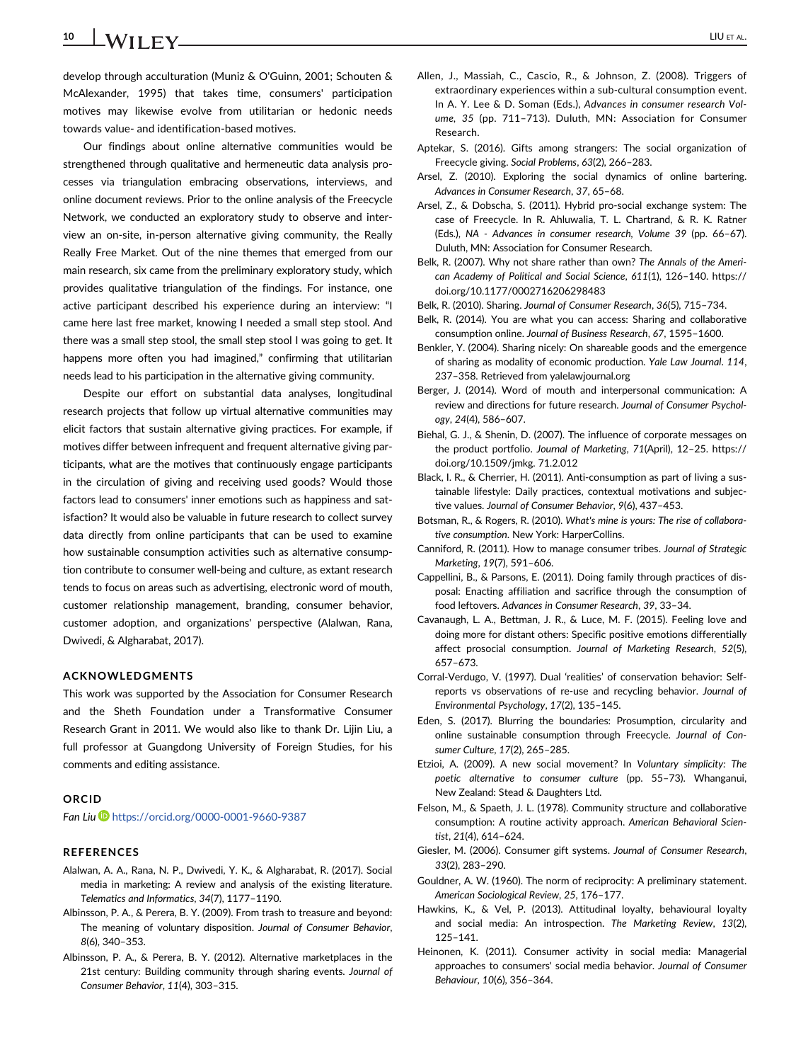develop through acculturation (Muniz & O'Guinn, 2001; Schouten & McAlexander, 1995) that takes time, consumers' participation motives may likewise evolve from utilitarian or hedonic needs towards value- and identification-based motives.

Our findings about online alternative communities would be strengthened through qualitative and hermeneutic data analysis processes via triangulation embracing observations, interviews, and online document reviews. Prior to the online analysis of the Freecycle Network, we conducted an exploratory study to observe and interview an on-site, in-person alternative giving community, the Really Really Free Market. Out of the nine themes that emerged from our main research, six came from the preliminary exploratory study, which provides qualitative triangulation of the findings. For instance, one active participant described his experience during an interview: "I came here last free market, knowing I needed a small step stool. And there was a small step stool, the small step stool I was going to get. It happens more often you had imagined," confirming that utilitarian needs lead to his participation in the alternative giving community.

Despite our effort on substantial data analyses, longitudinal research projects that follow up virtual alternative communities may elicit factors that sustain alternative giving practices. For example, if motives differ between infrequent and frequent alternative giving participants, what are the motives that continuously engage participants in the circulation of giving and receiving used goods? Would those factors lead to consumers' inner emotions such as happiness and satisfaction? It would also be valuable in future research to collect survey data directly from online participants that can be used to examine how sustainable consumption activities such as alternative consumption contribute to consumer well-being and culture, as extant research tends to focus on areas such as advertising, electronic word of mouth, customer relationship management, branding, consumer behavior, customer adoption, and organizations' perspective (Alalwan, Rana, Dwivedi, & Algharabat, 2017).

#### ACKNOWLEDGMENTS

This work was supported by the Association for Consumer Research and the Sheth Foundation under a Transformative Consumer Research Grant in 2011. We would also like to thank Dr. Lijin Liu, a full professor at Guangdong University of Foreign Studies, for his comments and editing assistance.

#### **ORCID**

Fan Liu <https://orcid.org/0000-0001-9660-9387>

#### REFERENCES

- Alalwan, A. A., Rana, N. P., Dwivedi, Y. K., & Algharabat, R. (2017). Social media in marketing: A review and analysis of the existing literature. Telematics and Informatics, 34(7), 1177–1190.
- Albinsson, P. A., & Perera, B. Y. (2009). From trash to treasure and beyond: The meaning of voluntary disposition. Journal of Consumer Behavior, 8(6), 340–353.
- Albinsson, P. A., & Perera, B. Y. (2012). Alternative marketplaces in the 21st century: Building community through sharing events. Journal of Consumer Behavior, 11(4), 303–315.
- Allen, J., Massiah, C., Cascio, R., & Johnson, Z. (2008). Triggers of extraordinary experiences within a sub-cultural consumption event. In A. Y. Lee & D. Soman (Eds.), Advances in consumer research Volume, 35 (pp. 711–713). Duluth, MN: Association for Consumer Research.
- Aptekar, S. (2016). Gifts among strangers: The social organization of Freecycle giving. Social Problems, 63(2), 266–283.
- Arsel, Z. (2010). Exploring the social dynamics of online bartering. Advances in Consumer Research, 37, 65–68.
- Arsel, Z., & Dobscha, S. (2011). Hybrid pro-social exchange system: The case of Freecycle. In R. Ahluwalia, T. L. Chartrand, & R. K. Ratner (Eds.), NA - Advances in consumer research, Volume 39 (pp. 66–67). Duluth, MN: Association for Consumer Research.
- Belk, R. (2007). Why not share rather than own? The Annals of the American Academy of Political and Social Science, 611(1), 126–140. [https://](https://doi.org/10.1177/0002716206298483) [doi.org/10.1177/0002716206298483](https://doi.org/10.1177/0002716206298483)
- Belk, R. (2010). Sharing. Journal of Consumer Research, 36(5), 715–734.
- Belk, R. (2014). You are what you can access: Sharing and collaborative consumption online. Journal of Business Research, 67, 1595–1600.
- Benkler, Y. (2004). Sharing nicely: On shareable goods and the emergence of sharing as modality of economic production. Yale Law Journal. 114, 237–358. Retrieved from [yalelawjournal.org](http://yalelawjournal.org)
- Berger, J. (2014). Word of mouth and interpersonal communication: A review and directions for future research. Journal of Consumer Psychology, 24(4), 586–607.
- Biehal, G. J., & Shenin, D. (2007). The influence of corporate messages on the product portfolio. Journal of Marketing, 71(April), 12–25. [https://](https://doi.org/10.1509/jmkg) [doi.org/10.1509/jmkg](https://doi.org/10.1509/jmkg). 71.2.012
- Black, I. R., & Cherrier, H. (2011). Anti-consumption as part of living a sustainable lifestyle: Daily practices, contextual motivations and subjective values. Journal of Consumer Behavior, 9(6), 437–453.
- Botsman, R., & Rogers, R. (2010). What's mine is yours: The rise of collaborative consumption. New York: HarperCollins.
- Canniford, R. (2011). How to manage consumer tribes. Journal of Strategic Marketing, 19(7), 591–606.
- Cappellini, B., & Parsons, E. (2011). Doing family through practices of disposal: Enacting affiliation and sacrifice through the consumption of food leftovers. Advances in Consumer Research, 39, 33–34.
- Cavanaugh, L. A., Bettman, J. R., & Luce, M. F. (2015). Feeling love and doing more for distant others: Specific positive emotions differentially affect prosocial consumption. Journal of Marketing Research, 52(5), 657–673.
- Corral-Verdugo, V. (1997). Dual 'realities' of conservation behavior: Selfreports vs observations of re-use and recycling behavior. Journal of Environmental Psychology, 17(2), 135–145.
- Eden, S. (2017). Blurring the boundaries: Prosumption, circularity and online sustainable consumption through Freecycle. Journal of Consumer Culture, 17(2), 265–285.
- Etzioi, A. (2009). A new social movement? In Voluntary simplicity: The poetic alternative to consumer culture (pp. 55–73). Whanganui, New Zealand: Stead & Daughters Ltd.
- Felson, M., & Spaeth, J. L. (1978). Community structure and collaborative consumption: A routine activity approach. American Behavioral Scientist, 21(4), 614–624.
- Giesler, M. (2006). Consumer gift systems. Journal of Consumer Research, 33(2), 283–290.
- Gouldner, A. W. (1960). The norm of reciprocity: A preliminary statement. American Sociological Review, 25, 176–177.
- Hawkins, K., & Vel, P. (2013). Attitudinal loyalty, behavioural loyalty and social media: An introspection. The Marketing Review, 13(2), 125–141.
- Heinonen, K. (2011). Consumer activity in social media: Managerial approaches to consumers' social media behavior. Journal of Consumer Behaviour, 10(6), 356–364.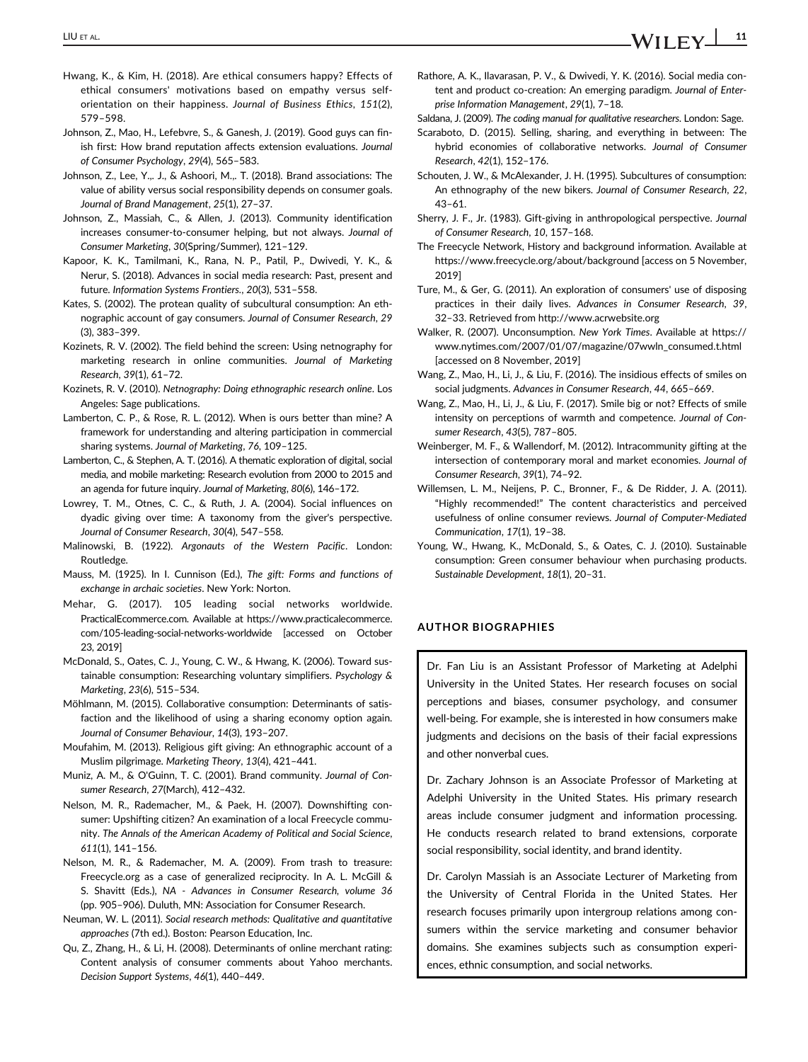- Hwang, K., & Kim, H. (2018). Are ethical consumers happy? Effects of ethical consumers' motivations based on empathy versus selforientation on their happiness. Journal of Business Ethics, 151(2), 579–598.
- Johnson, Z., Mao, H., Lefebvre, S., & Ganesh, J. (2019). Good guys can finish first: How brand reputation affects extension evaluations. Journal of Consumer Psychology, 29(4), 565–583.
- Johnson, Z., Lee, Y.,. J., & Ashoori, M.,. T. (2018). Brand associations: The value of ability versus social responsibility depends on consumer goals. Journal of Brand Management, 25(1), 27–37.
- Johnson, Z., Massiah, C., & Allen, J. (2013). Community identification increases consumer-to-consumer helping, but not always. Journal of Consumer Marketing, 30(Spring/Summer), 121–129.
- Kapoor, K. K., Tamilmani, K., Rana, N. P., Patil, P., Dwivedi, Y. K., & Nerur, S. (2018). Advances in social media research: Past, present and future. Information Systems Frontiers., 20(3), 531–558.
- Kates, S. (2002). The protean quality of subcultural consumption: An ethnographic account of gay consumers. Journal of Consumer Research, 29 (3), 383–399.
- Kozinets, R. V. (2002). The field behind the screen: Using netnography for marketing research in online communities. Journal of Marketing Research, 39(1), 61–72.
- Kozinets, R. V. (2010). Netnography: Doing ethnographic research online. Los Angeles: Sage publications.
- Lamberton, C. P., & Rose, R. L. (2012). When is ours better than mine? A framework for understanding and altering participation in commercial sharing systems. Journal of Marketing, 76, 109–125.
- Lamberton, C., & Stephen, A. T. (2016). A thematic exploration of digital, social media, and mobile marketing: Research evolution from 2000 to 2015 and an agenda for future inquiry. Journal of Marketing, 80(6), 146–172.
- Lowrey, T. M., Otnes, C. C., & Ruth, J. A. (2004). Social influences on dyadic giving over time: A taxonomy from the giver's perspective. Journal of Consumer Research, 30(4), 547–558.
- Malinowski, B. (1922). Argonauts of the Western Pacific. London: Routledge.
- Mauss, M. (1925). In I. Cunnison (Ed.), The gift: Forms and functions of exchange in archaic societies. New York: Norton.
- Mehar, G. (2017). 105 leading social networks worldwide. [PracticalEcommerce.com.](http://practicalecommerce.com) Available at [https://www.practicalecommerce.](https://www.practicalecommerce.com/105-leading-social-networks-worldwide) [com/105-leading-social-networks-worldwide](https://www.practicalecommerce.com/105-leading-social-networks-worldwide) [accessed on October 23, 2019]
- McDonald, S., Oates, C. J., Young, C. W., & Hwang, K. (2006). Toward sustainable consumption: Researching voluntary simplifiers. Psychology & Marketing, 23(6), 515–534.
- Möhlmann, M. (2015). Collaborative consumption: Determinants of satisfaction and the likelihood of using a sharing economy option again. Journal of Consumer Behaviour, 14(3), 193–207.
- Moufahim, M. (2013). Religious gift giving: An ethnographic account of a Muslim pilgrimage. Marketing Theory, 13(4), 421–441.
- Muniz, A. M., & O'Guinn, T. C. (2001). Brand community. Journal of Consumer Research, 27(March), 412–432.
- Nelson, M. R., Rademacher, M., & Paek, H. (2007). Downshifting consumer: Upshifting citizen? An examination of a local Freecycle community. The Annals of the American Academy of Political and Social Science, 611(1), 141–156.
- Nelson, M. R., & Rademacher, M. A. (2009). From trash to treasure: Freecycle.org as a case of generalized reciprocity. In A. L. McGill & S. Shavitt (Eds.), NA - Advances in Consumer Research, volume 36 (pp. 905–906). Duluth, MN: Association for Consumer Research.
- Neuman, W. L. (2011). Social research methods: Qualitative and quantitative approaches (7th ed.). Boston: Pearson Education, Inc.
- Qu, Z., Zhang, H., & Li, H. (2008). Determinants of online merchant rating: Content analysis of consumer comments about Yahoo merchants. Decision Support Systems, 46(1), 440–449.
- Rathore, A. K., Ilavarasan, P. V., & Dwivedi, Y. K. (2016). Social media content and product co-creation: An emerging paradigm. Journal of Enterprise Information Management, 29(1), 7–18.
- Saldana, J. (2009). The coding manual for qualitative researchers. London: Sage.
- Scaraboto, D. (2015). Selling, sharing, and everything in between: The hybrid economies of collaborative networks. Journal of Consumer Research, 42(1), 152–176.
- Schouten, J. W., & McAlexander, J. H. (1995). Subcultures of consumption: An ethnography of the new bikers. Journal of Consumer Research, 22, 43–61.
- Sherry, J. F., Jr. (1983). Gift-giving in anthropological perspective. Journal of Consumer Research, 10, 157–168.
- The Freecycle Network, History and background information. Available at <https://www.freecycle.org/about/background> [access on 5 November, 2019]
- Ture, M., & Ger, G. (2011). An exploration of consumers' use of disposing practices in their daily lives. Advances in Consumer Research, 39, 32–33. Retrieved from<http://www.acrwebsite.org>
- Walker, R. (2007). Unconsumption. New York Times. Available at [https://](https://www.nytimes.com/2007/01/07/magazine/07wwln_consumed.t.html) [www.nytimes.com/2007/01/07/magazine/07wwln\\_consumed.t.html](https://www.nytimes.com/2007/01/07/magazine/07wwln_consumed.t.html) [accessed on 8 November, 2019]
- Wang, Z., Mao, H., Li, J., & Liu, F. (2016). The insidious effects of smiles on social judgments. Advances in Consumer Research, 44, 665–669.
- Wang, Z., Mao, H., Li, J., & Liu, F. (2017). Smile big or not? Effects of smile intensity on perceptions of warmth and competence. Journal of Consumer Research, 43(5), 787–805.
- Weinberger, M. F., & Wallendorf, M. (2012). Intracommunity gifting at the intersection of contemporary moral and market economies. Journal of Consumer Research, 39(1), 74–92.
- Willemsen, L. M., Neijens, P. C., Bronner, F., & De Ridder, J. A. (2011). "Highly recommended!" The content characteristics and perceived usefulness of online consumer reviews. Journal of Computer-Mediated Communication, 17(1), 19–38.
- Young, W., Hwang, K., McDonald, S., & Oates, C. J. (2010). Sustainable consumption: Green consumer behaviour when purchasing products. Sustainable Development, 18(1), 20–31.

#### AUTHOR BIOGRAPHIES

Dr. Fan Liu is an Assistant Professor of Marketing at Adelphi University in the United States. Her research focuses on social perceptions and biases, consumer psychology, and consumer well-being. For example, she is interested in how consumers make judgments and decisions on the basis of their facial expressions and other nonverbal cues.

Dr. Zachary Johnson is an Associate Professor of Marketing at Adelphi University in the United States. His primary research areas include consumer judgment and information processing. He conducts research related to brand extensions, corporate social responsibility, social identity, and brand identity.

Dr. Carolyn Massiah is an Associate Lecturer of Marketing from the University of Central Florida in the United States. Her research focuses primarily upon intergroup relations among consumers within the service marketing and consumer behavior domains. She examines subjects such as consumption experiences, ethnic consumption, and social networks.